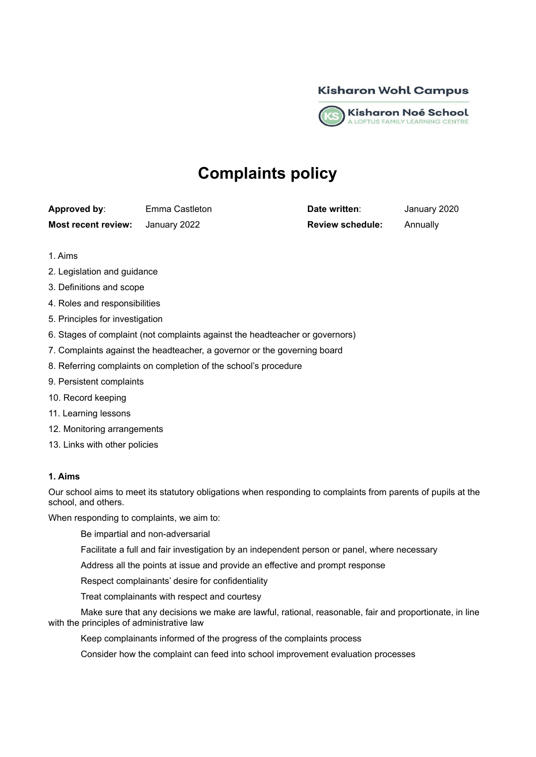



# **Complaints policy**

**Approved by**: Emma Castleton **Date written**: January 2020 **Most recent review:** January 2022 **Review schedule:** Annually

- 1. Aims
- 2. Legislation and guidance
- 3. Definitions and scope
- 4. Roles and responsibilities
- 5. Principles for investigation
- 6. Stages of complaint (not complaints against the headteacher or governors)
- 7. Complaints against the headteacher, a governor or the governing board
- 8. Referring complaints on completion of the school's procedure
- 9. Persistent complaints
- 10. Record keeping
- 11. Learning lessons
- 12. Monitoring arrangements
- 13. Links with other policies

## **1. Aims**

Our school aims to meet its statutory obligations when responding to complaints from parents of pupils at the school, and others.

When responding to complaints, we aim to:

- Be impartial and non-adversarial
- Facilitate a full and fair investigation by an independent person or panel, where necessary
- Address all the points at issue and provide an effective and prompt response
- Respect complainants' desire for confidentiality
- Treat complainants with respect and courtesy
- Make sure that any decisions we make are lawful, rational, reasonable, fair and proportionate, in line with the principles of administrative law
	- Keep complainants informed of the progress of the complaints process
	- Consider how the complaint can feed into school improvement evaluation processes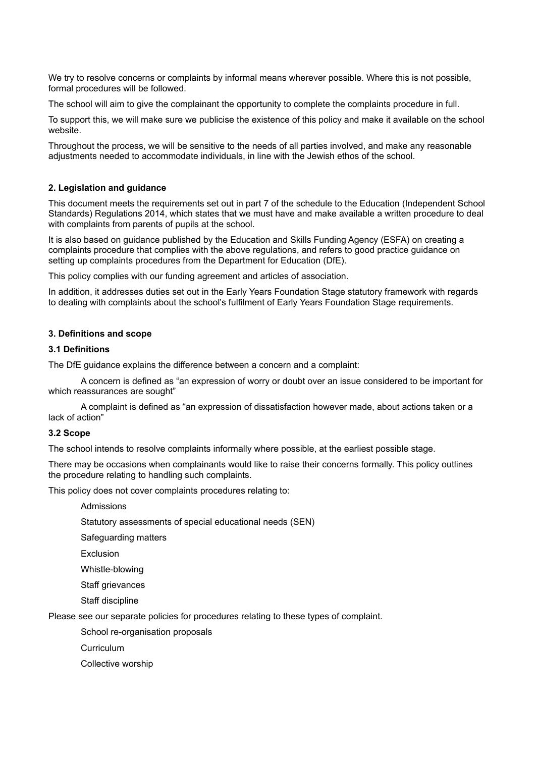We try to resolve concerns or complaints by informal means wherever possible. Where this is not possible, formal procedures will be followed.

The school will aim to give the complainant the opportunity to complete the complaints procedure in full.

To support this, we will make sure we publicise the existence of this policy and make it available on the school website.

Throughout the process, we will be sensitive to the needs of all parties involved, and make any reasonable adjustments needed to accommodate individuals, in line with the Jewish ethos of the school.

# **2. Legislation and guidance**

This document meets the requirements set out in part 7 of the schedule to the Education (Independent School Standards) Regulations 2014, which states that we must have and make available a written procedure to deal with complaints from parents of pupils at the school.

It is also based on guidance published by the Education and Skills Funding Agency (ESFA) on creating a complaints procedure that complies with the above regulations, and refers to good practice guidance on setting up complaints procedures from the Department for Education (DfE).

This policy complies with our funding agreement and articles of association.

In addition, it addresses duties set out in the Early Years Foundation Stage statutory framework with regards to dealing with complaints about the school's fulfilment of Early Years Foundation Stage requirements.

# **3. Definitions and scope**

# **3.1 Definitions**

The DfE guidance explains the difference between a concern and a complaint:

A concern is defined as "an expression of worry or doubt over an issue considered to be important for which reassurances are sought"

A complaint is defined as "an expression of dissatisfaction however made, about actions taken or a lack of action"

## **3.2 Scope**

The school intends to resolve complaints informally where possible, at the earliest possible stage.

There may be occasions when complainants would like to raise their concerns formally. This policy outlines the procedure relating to handling such complaints.

This policy does not cover complaints procedures relating to:

Admissions

Statutory assessments of special educational needs (SEN)

Safeguarding matters

Exclusion

Whistle-blowing

Staff grievances

Staff discipline

Please see our separate policies for procedures relating to these types of complaint.

School re-organisation proposals

Curriculum

Collective worship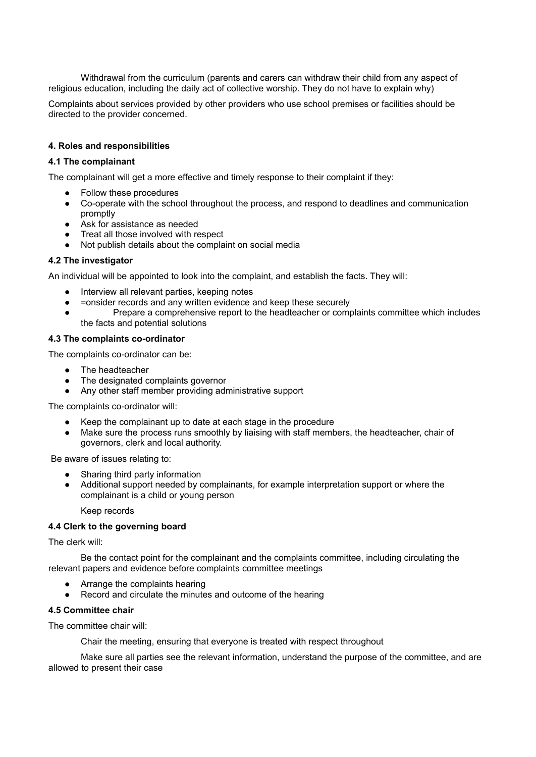Withdrawal from the curriculum (parents and carers can withdraw their child from any aspect of religious education, including the daily act of collective worship. They do not have to explain why)

Complaints about services provided by other providers who use school premises or facilities should be directed to the provider concerned.

# **4. Roles and responsibilities**

## **4.1 The complainant**

The complainant will get a more effective and timely response to their complaint if they:

- Follow these procedures
- Co-operate with the school throughout the process, and respond to deadlines and communication promptly
- Ask for assistance as needed
- Treat all those involved with respect
- Not publish details about the complaint on social media

## **4.2 The investigator**

An individual will be appointed to look into the complaint, and establish the facts. They will:

- Interview all relevant parties, keeping notes
- =onsider records and any written evidence and keep these securely
- Prepare a comprehensive report to the headteacher or complaints committee which includes the facts and potential solutions

## **4.3 The complaints co-ordinator**

The complaints co-ordinator can be:

- The headteacher
- The designated complaints governor
- Any other staff member providing administrative support

The complaints co-ordinator will:

- Keep the complainant up to date at each stage in the procedure
- Make sure the process runs smoothly by liaising with staff members, the headteacher, chair of governors, clerk and local authority.

Be aware of issues relating to:

- Sharing third party information
- Additional support needed by complainants, for example interpretation support or where the complainant is a child or young person

Keep records

# **4.4 Clerk to the governing board**

The clerk will:

Be the contact point for the complainant and the complaints committee, including circulating the relevant papers and evidence before complaints committee meetings

- Arrange the complaints hearing
- Record and circulate the minutes and outcome of the hearing

## **4.5 Committee chair**

The committee chair will:

Chair the meeting, ensuring that everyone is treated with respect throughout

Make sure all parties see the relevant information, understand the purpose of the committee, and are allowed to present their case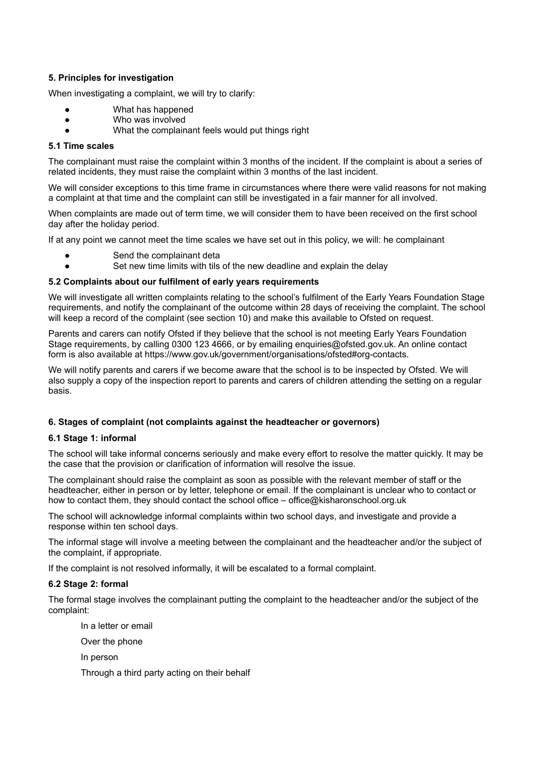# **5. Principles for investigation**

When investigating a complaint, we will try to clarify:

- What has happened
- Who was involved
- What the complainant feels would put things right

# **5.1 Time scales**

The complainant must raise the complaint within 3 months of the incident. If the complaint is about a series of related incidents, they must raise the complaint within 3 months of the last incident.

We will consider exceptions to this time frame in circumstances where there were valid reasons for not making a complaint at that time and the complaint can still be investigated in a fair manner for all involved.

When complaints are made out of term time, we will consider them to have been received on the first school day after the holiday period.

If at any point we cannot meet the time scales we have set out in this policy, we will: he complainant

- Send the complainant deta
- Set new time limits with tils of the new deadline and explain the delay

# **5.2 Complaints about our fulfilment of early years requirements**

We will investigate all written complaints relating to the school's fulfilment of the Early Years Foundation Stage requirements, and notify the complainant of the outcome within 28 days of receiving the complaint. The school will keep a record of the complaint (see section 10) and make this available to Ofsted on request.

Parents and carers can notify Ofsted if they believe that the school is not meeting Early Years Foundation Stage requirements, by calling 0300 123 4666, or by emailing enquiries@ofsted.gov.uk. An online contact form is also available at https://www.gov.uk/government/organisations/ofsted#org-contacts.

We will notify parents and carers if we become aware that the school is to be inspected by Ofsted. We will also supply a copy of the inspection report to parents and carers of children attending the setting on a regular basis.

# **6. Stages of complaint (not complaints against the headteacher or governors)**

## **6.1 Stage 1: informal**

The school will take informal concerns seriously and make every effort to resolve the matter quickly. It may be the case that the provision or clarification of information will resolve the issue.

The complainant should raise the complaint as soon as possible with the relevant member of staff or the headteacher, either in person or by letter, telephone or email. If the complainant is unclear who to contact or how to contact them, they should contact the school office – office@kisharonschool.org.uk

The school will acknowledge informal complaints within two school days, and investigate and provide a response within ten school days.

The informal stage will involve a meeting between the complainant and the headteacher and/or the subject of the complaint, if appropriate.

If the complaint is not resolved informally, it will be escalated to a formal complaint.

# **6.2 Stage 2: formal**

The formal stage involves the complainant putting the complaint to the headteacher and/or the subject of the complaint:

In a letter or email

Over the phone

In person

Through a third party acting on their behalf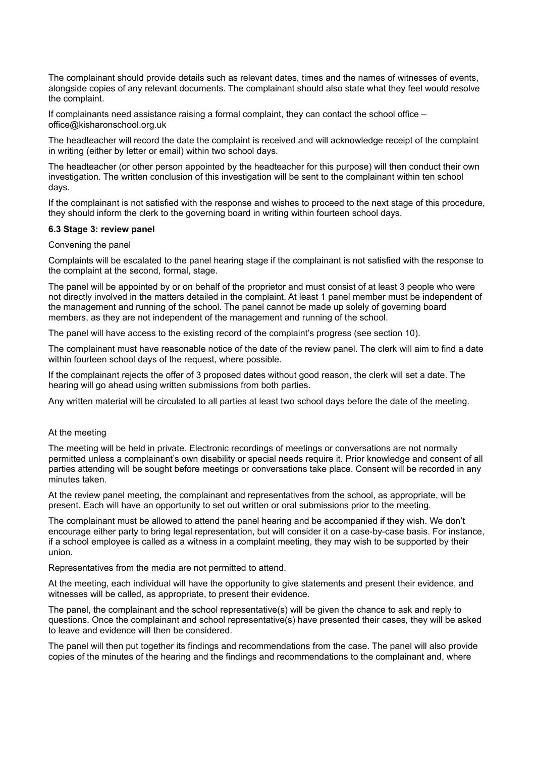The complainant should provide details such as relevant dates, times and the names of witnesses of events, alongside copies of any relevant documents. The complainant should also state what they feel would resolve the complaint.

If complainants need assistance raising a formal complaint, they can contact the school office – office@kisharonschool.org.uk

The headteacher will record the date the complaint is received and will acknowledge receipt of the complaint in writing (either by letter or email) within two school days.

The headteacher (or other person appointed by the headteacher for this purpose) will then conduct their own investigation. The written conclusion of this investigation will be sent to the complainant within ten school days.

If the complainant is not satisfied with the response and wishes to proceed to the next stage of this procedure, they should inform the clerk to the governing board in writing within fourteen school days.

#### **6.3 Stage 3: review panel**

#### Convening the panel

Complaints will be escalated to the panel hearing stage if the complainant is not satisfied with the response to the complaint at the second, formal, stage.

The panel will be appointed by or on behalf of the proprietor and must consist of at least 3 people who were not directly involved in the matters detailed in the complaint. At least 1 panel member must be independent of the management and running of the school. The panel cannot be made up solely of governing board members, as they are not independent of the management and running of the school.

The panel will have access to the existing record of the complaint's progress (see section 10).

The complainant must have reasonable notice of the date of the review panel. The clerk will aim to find a date within fourteen school days of the request, where possible.

If the complainant rejects the offer of 3 proposed dates without good reason, the clerk will set a date. The hearing will go ahead using written submissions from both parties.

Any written material will be circulated to all parties at least two school days before the date of the meeting.

## At the meeting

The meeting will be held in private. Electronic recordings of meetings or conversations are not normally permitted unless a complainant's own disability or special needs require it. Prior knowledge and consent of all parties attending will be sought before meetings or conversations take place. Consent will be recorded in any minutes taken.

At the review panel meeting, the complainant and representatives from the school, as appropriate, will be present. Each will have an opportunity to set out written or oral submissions prior to the meeting.

The complainant must be allowed to attend the panel hearing and be accompanied if they wish. We don't encourage either party to bring legal representation, but will consider it on a case-by-case basis. For instance, if a school employee is called as a witness in a complaint meeting, they may wish to be supported by their union.

Representatives from the media are not permitted to attend.

At the meeting, each individual will have the opportunity to give statements and present their evidence, and witnesses will be called, as appropriate, to present their evidence.

The panel, the complainant and the school representative(s) will be given the chance to ask and reply to questions. Once the complainant and school representative(s) have presented their cases, they will be asked to leave and evidence will then be considered.

The panel will then put together its findings and recommendations from the case. The panel will also provide copies of the minutes of the hearing and the findings and recommendations to the complainant and, where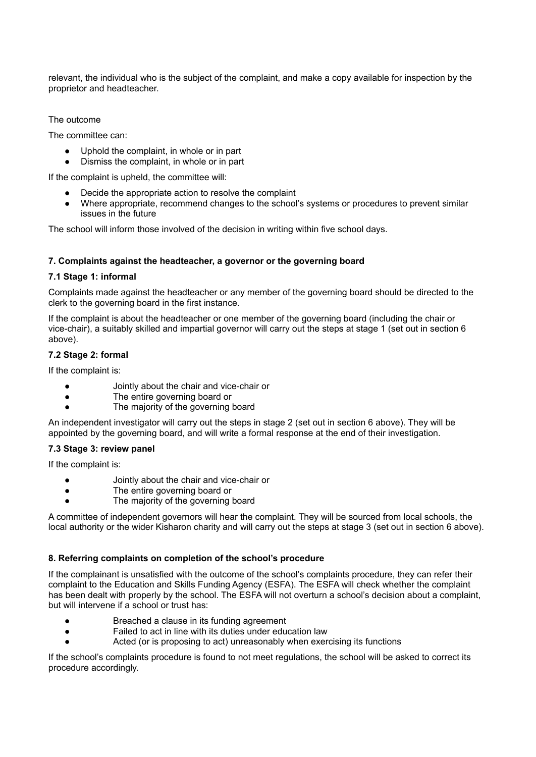relevant, the individual who is the subject of the complaint, and make a copy available for inspection by the proprietor and headteacher.

The outcome

The committee can:

- Uphold the complaint, in whole or in part
- Dismiss the complaint, in whole or in part

If the complaint is upheld, the committee will:

- Decide the appropriate action to resolve the complaint
- Where appropriate, recommend changes to the school's systems or procedures to prevent similar issues in the future

The school will inform those involved of the decision in writing within five school days.

# **7. Complaints against the headteacher, a governor or the governing board**

# **7.1 Stage 1: informal**

Complaints made against the headteacher or any member of the governing board should be directed to the clerk to the governing board in the first instance.

If the complaint is about the headteacher or one member of the governing board (including the chair or vice-chair), a suitably skilled and impartial governor will carry out the steps at stage 1 (set out in section 6 above).

# **7.2 Stage 2: formal**

If the complaint is:

- Jointly about the chair and vice-chair or
- The entire governing board or
- The majority of the governing board

An independent investigator will carry out the steps in stage 2 (set out in section 6 above). They will be appointed by the governing board, and will write a formal response at the end of their investigation.

## **7.3 Stage 3: review panel**

If the complaint is:

- Jointly about the chair and vice-chair or
- The entire governing board or
- The majority of the governing board

A committee of independent governors will hear the complaint. They will be sourced from local schools, the local authority or the wider Kisharon charity and will carry out the steps at stage 3 (set out in section 6 above).

# **8. Referring complaints on completion of the school's procedure**

If the complainant is unsatisfied with the outcome of the school's complaints procedure, they can refer their complaint to the Education and Skills Funding Agency (ESFA). The ESFA will check whether the complaint has been dealt with properly by the school. The ESFA will not overturn a school's decision about a complaint, but will intervene if a school or trust has:

- Breached a clause in its funding agreement
- Failed to act in line with its duties under education law
- Acted (or is proposing to act) unreasonably when exercising its functions

If the school's complaints procedure is found to not meet regulations, the school will be asked to correct its procedure accordingly.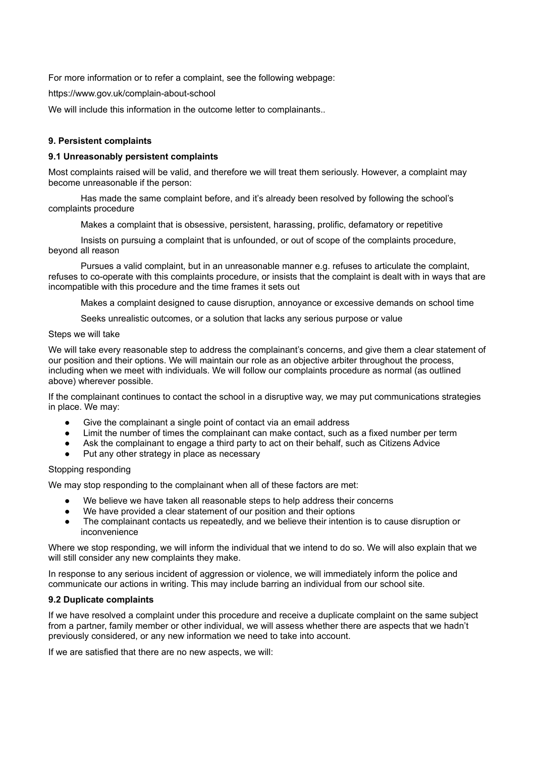For more information or to refer a complaint, see the following webpage:

https://www.gov.uk/complain-about-school

We will include this information in the outcome letter to complainants..

# **9. Persistent complaints**

## **9.1 Unreasonably persistent complaints**

Most complaints raised will be valid, and therefore we will treat them seriously. However, a complaint may become unreasonable if the person:

Has made the same complaint before, and it's already been resolved by following the school's complaints procedure

Makes a complaint that is obsessive, persistent, harassing, prolific, defamatory or repetitive

Insists on pursuing a complaint that is unfounded, or out of scope of the complaints procedure, beyond all reason

Pursues a valid complaint, but in an unreasonable manner e.g. refuses to articulate the complaint, refuses to co-operate with this complaints procedure, or insists that the complaint is dealt with in ways that are incompatible with this procedure and the time frames it sets out

Makes a complaint designed to cause disruption, annoyance or excessive demands on school time

Seeks unrealistic outcomes, or a solution that lacks any serious purpose or value

## Steps we will take

We will take every reasonable step to address the complainant's concerns, and give them a clear statement of our position and their options. We will maintain our role as an objective arbiter throughout the process, including when we meet with individuals. We will follow our complaints procedure as normal (as outlined above) wherever possible.

If the complainant continues to contact the school in a disruptive way, we may put communications strategies in place. We may:

- Give the complainant a single point of contact via an email address
- Limit the number of times the complainant can make contact, such as a fixed number per term
- Ask the complainant to engage a third party to act on their behalf, such as Citizens Advice
- Put any other strategy in place as necessary

# Stopping responding

We may stop responding to the complainant when all of these factors are met:

- We believe we have taken all reasonable steps to help address their concerns
- We have provided a clear statement of our position and their options
- The complainant contacts us repeatedly, and we believe their intention is to cause disruption or inconvenience

Where we stop responding, we will inform the individual that we intend to do so. We will also explain that we will still consider any new complaints they make.

In response to any serious incident of aggression or violence, we will immediately inform the police and communicate our actions in writing. This may include barring an individual from our school site.

## **9.2 Duplicate complaints**

If we have resolved a complaint under this procedure and receive a duplicate complaint on the same subject from a partner, family member or other individual, we will assess whether there are aspects that we hadn't previously considered, or any new information we need to take into account.

If we are satisfied that there are no new aspects, we will: